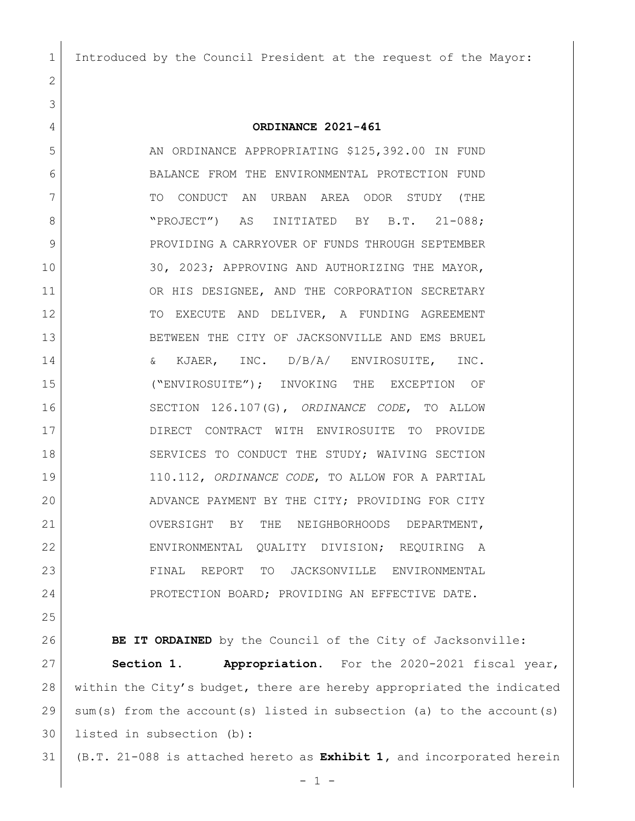Introduced by the Council President at the request of the Mayor:

## **ORDINANCE 2021-461**

5 AN ORDINANCE APPROPRIATING \$125,392.00 IN FUND BALANCE FROM THE ENVIRONMENTAL PROTECTION FUND TO CONDUCT AN URBAN AREA ODOR STUDY (THE 8 | "PROJECT") AS INITIATED BY B.T. 21-088; 9 PROVIDING A CARRYOVER OF FUNDS THROUGH SEPTEMBER 30, 2023; APPROVING AND AUTHORIZING THE MAYOR, 11 OR HIS DESIGNEE, AND THE CORPORATION SECRETARY 12 TO EXECUTE AND DELIVER, A FUNDING AGREEMENT 13 BETWEEN THE CITY OF JACKSONVILLE AND EMS BRUEL 14 |  $\&$  KJAER, INC. D/B/A/ ENVIROSUITE, INC. ("ENVIROSUITE"); INVOKING THE EXCEPTION OF SECTION 126.107(G), *ORDINANCE CODE*, TO ALLOW DIRECT CONTRACT WITH ENVIROSUITE TO PROVIDE 18 | SERVICES TO CONDUCT THE STUDY; WAIVING SECTION 110.112, *ORDINANCE CODE*, TO ALLOW FOR A PARTIAL 20 ADVANCE PAYMENT BY THE CITY; PROVIDING FOR CITY OVERSIGHT BY THE NEIGHBORHOODS DEPARTMENT, ENVIRONMENTAL QUALITY DIVISION; REQUIRING A FINAL REPORT TO JACKSONVILLE ENVIRONMENTAL 24 PROTECTION BOARD; PROVIDING AN EFFECTIVE DATE.

**BE IT ORDAINED** by the Council of the City of Jacksonville: **Section 1. Appropriation.** For the 2020-2021 fiscal year, within the City's budget, there are hereby appropriated the indicated sum(s) from the account(s) listed in subsection (a) to the account(s) listed in subsection (b):

(B.T. 21-088 is attached hereto as **Exhibit 1,** and incorporated herein

 $- 1 -$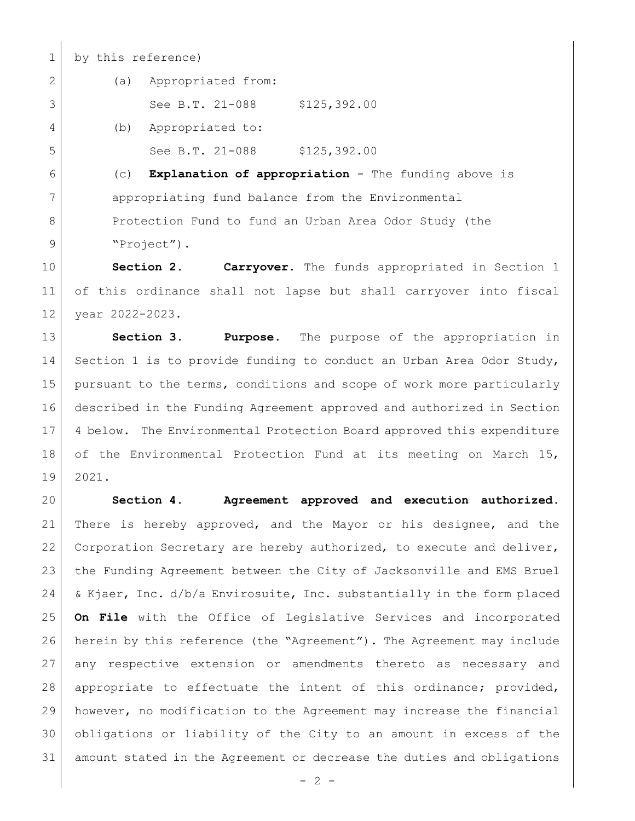1 by this reference)

2 (a) Appropriated from:

3 See B.T. 21-088 \$125,392.00

4 (b) Appropriated to:

5 See B.T. 21-088 \$125,392.00

 (c) **Explanation of appropriation** - The funding above is appropriating fund balance from the Environmental 8 Protection Fund to fund an Urban Area Odor Study (the 9 Project").

 **Section 2. Carryover.** The funds appropriated in Section 1 of this ordinance shall not lapse but shall carryover into fiscal year 2022-2023.

 **Section 3. Purpose**. The purpose of the appropriation in Section 1 is to provide funding to conduct an Urban Area Odor Study, 15 pursuant to the terms, conditions and scope of work more particularly described in the Funding Agreement approved and authorized in Section 4 below. The Environmental Protection Board approved this expenditure of the Environmental Protection Fund at its meeting on March 15, 2021.

 **Section 4. Agreement approved and execution authorized.** There is hereby approved, and the Mayor or his designee, and the Corporation Secretary are hereby authorized, to execute and deliver, the Funding Agreement between the City of Jacksonville and EMS Bruel & Kjaer, Inc. d/b/a Envirosuite, Inc. substantially in the form placed **On File** with the Office of Legislative Services and incorporated herein by this reference (the "Agreement"). The Agreement may include any respective extension or amendments thereto as necessary and appropriate to effectuate the intent of this ordinance; provided, however, no modification to the Agreement may increase the financial obligations or liability of the City to an amount in excess of the amount stated in the Agreement or decrease the duties and obligations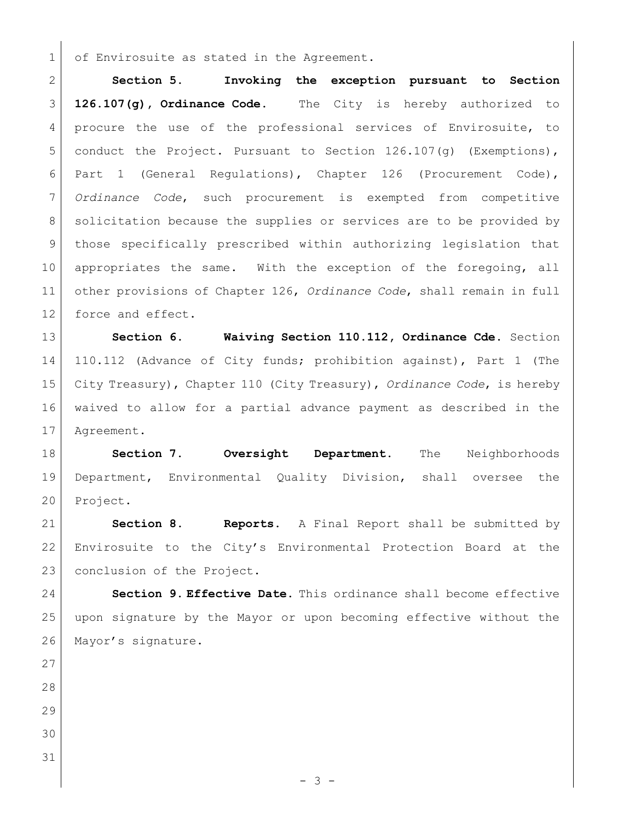1 of Envirosuite as stated in the Agreement.

 **Section 5. Invoking the exception pursuant to Section 126.107(g), Ordinance Code.** The City is hereby authorized to 4 procure the use of the professional services of Envirosuite, to conduct the Project. Pursuant to Section 126.107(g) (Exemptions), Part 1 (General Regulations), Chapter 126 (Procurement Code), *Ordinance Code*, such procurement is exempted from competitive 8 | solicitation because the supplies or services are to be provided by those specifically prescribed within authorizing legislation that 10 appropriates the same. With the exception of the foregoing, all other provisions of Chapter 126, *Ordinance Code*, shall remain in full 12 force and effect.

 **Section 6. Waiving Section 110.112, Ordinance Cde.** Section 110.112 (Advance of City funds; prohibition against), Part 1 (The City Treasury), Chapter 110 (City Treasury), *Ordinance Code*, is hereby waived to allow for a partial advance payment as described in the Agreement.

 **Section 7. Oversight Department.** The Neighborhoods Department, Environmental Quality Division, shall oversee the Project.

 **Section 8. Reports.** A Final Report shall be submitted by Envirosuite to the City's Environmental Protection Board at the 23 conclusion of the Project.

 **Section 9. Effective Date.** This ordinance shall become effective upon signature by the Mayor or upon becoming effective without the 26 Mayor's signature.

- 
- 
- 
- 
-